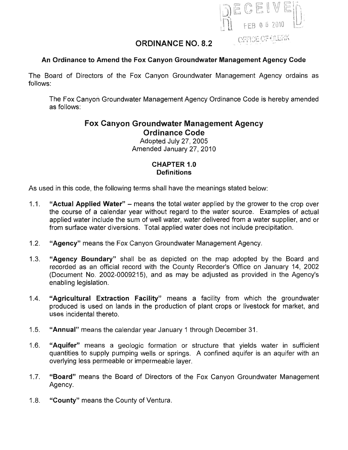

# **ORDINANCE NO. 8.2**

### **An Ordinance to Amend the Fox Canyon Groundwater Management Agency Code**

The Board of Directors of the Fox Canyon Groundwater Management Agency ordains as follows:

The Fox Canyon Groundwater Management Agency Ordinance Code is hereby amended as follows:

# **Fox Canyon Groundwater Management Agency Ordinance Code**

Adopted July 27, 2005 Amended January 27,2010

### **CHAPTER 1.0 Definitions**

As used in this code, the following terms shall have the meanings stated below:

- 1.1. **"Actual Applied Water" -** means the total water applied by the grower to the crop over the course of a calendar year without regard to the water source. Examples of actual applied water include the sum of well water, water delivered from a water supplier, and or from surface water diversions. Total applied water does not include precipitation.
- 1.2. **"Agency"** means the Fox Canyon Groundwater Management Agency.
- 1.3. **"Agency Boundary"** shall be as depicted on the map adopted by the Board and recorded as an official record with the County Recorder's Office on January 14, 2002 (Document No. 2002-0009215), and as may be adjusted as provided in the Agency's enabling legislation.
- 1.4. **"Agricultural Extraction Facility"** means a facility from which the groundwater produced is used on lands in the production of plant crops or livestock for market, and uses incidental thereto.
- 1.5. **"Annual"** means the calendar year January 1 through December 31.
- 1.6. **"Aquifer"** means a geologic formation or structure that yields water in sufficient quantities to supply pumping wells or springs. A confined aquifer is an aquifer with an overlying less permeable or impermeable layer.
- 1.7. **"Board"** means the Board of Directors of the Fox Canyon Groundwater Management Agency.
- 1.8. **"County"** means the County of Ventura.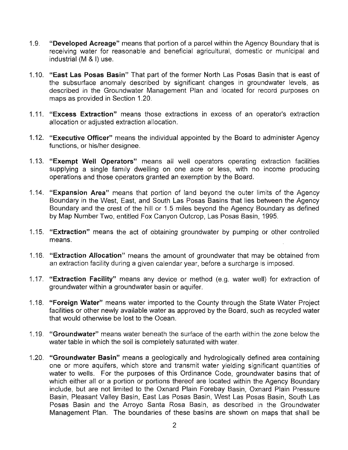- 1.9. **"Developed Acreage"** means that portion of a parcel within the Agency Boundary that is receiving water for reasonable and beneficial agricultural, domestic or municipal and industrial (M & I) use.
- 1.10. **"East Las Posas Basin"** That part of the former North Las Posas Basin that is east of the subsurface anomaly described by significant changes in groundwater levels, as described in the Groundwater Management Plan and located for record purposes on maps as provided in Section 1.20.
- 1.11. **"Excess Extraction"** means those extractions in excess of an operator's extraction allocation or adjusted extraction allocation.
- 1.12. **"Executive Officer"** means the individual appointed by the Board to administer Agency functions, or his/her designee.
- 1.13. **"Exempt Well Operators"** means all well operators operating extraction facilities supplying a single family dwelling on one acre or less, with no income producing operations and those operators granted an exemption by the Board.
- 1.14. **"Expansion Area"** means that portion of land beyond the outer limits of the Agency Boundary in the West, East, and South Las Posas Basins that lies between the Agency Boundary and the crest of the hill or 1.5 miles beyond the Agency Boundary as defined by Map Number Two, entitled Fox Canyon Outcrop, Las Posas Basin, 1995.
- 1.15. **"Extraction"** means the act of obtaining groundwater by pumping or other controlled means.
- 1.16. **"Extraction Allocation"** means the amount of groundwater that may be obtained from an extraction facility during a given calendar year, before a surcharge is imposed.
- 1.17. **"Extraction Facility"** means any device or method (e.g. water well) for extraction of groundwater within a groundwater basin or aquifer.
- 1.18. **"Foreign Water"** means water imported to the County through the State Water Project facilities or other newly available water as approved by the Board, such as recycled water that would otherwise be lost to the Ocean.
- 1.19. **"Groundwater"** means water beneath the surface of the earth within the zone below the water table in which the soil is completely saturated with water.
- 1.20. **"Groundwater Basin"** means a geologically and hydrologically defined area containing one or more aquifers, which store and transmit water yielding significant quantities of water to wells. For the purposes of this Ordinance Code, groundwater basins that of which either all or a portion or portions thereof are located within the Agency Boundary include, but are not limited to the Oxnard Plain Forebay Basin, Oxnard Plain Pressure Basin, Pleasant Valley Basin, East Las Posas Basin, West Las Posas Basin, South Las Posas Basin and the Arroyo Santa Rosa Basin, as described in the Groundwater Management Plan. The boundaries of these basins are shown on maps that shall be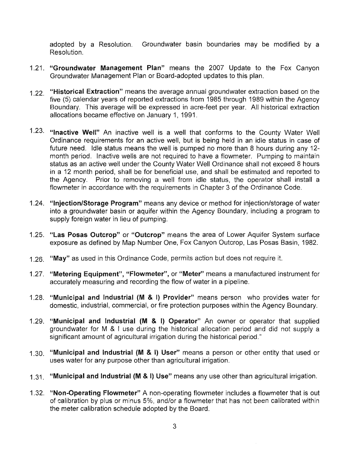adopted by a Resolution. Groundwater basin boundaries may be modified by a Resolution.

- 1.21. "Groundwater Management Plan" means the 2007 Update to the Fox Canyon Groundwater Management Plan or Board-adopted updates to this plan.
- 1.22. "Historical Extraction" means the average annual groundwater extraction based on the five (5) calendar years of reported extractions from 1985 through 1989 within the Agency Boundary. This average will be expressed in acre-feet per year. All historical extraction allocations became effective on January 1, 1991.
- 1.23. "Inactive Well" An inactive well is a well that conforms to the County Water Well Ordinance requirements for an active well, but is being held in an idle status in case of future need. Idle status means the well is pumped no more than 8 hours during any 12 month period. Inactive wells are not required to have a flowmeter. Pumping to maintain status as an active well under the County Water Well Ordinance shall not exceed 8 hours in a 12 month period, shall be for beneficial use, and shall be estimated and reported to the Agency. Prior to removing a well from idle status, the operator shall install a flowmeter in accordance with the requirements in Chapter 3 of the Ordinance Code.
- 1.24. "Injection/Storage Program" means any device or method for injection/storage of water into a groundwater basin or aquifer within the Agency Boundary, including a program to supply foreign water in lieu of pumping.
- 1.25. "Las Posas Outcrop" or "Outcrop" means the area of Lower Aquifer System surface exposure as defined by Map Number One, Fox Canyon Outcrop, Las Posas Basin, 1982.
- 1.26. "May" as used in this Ordinance Code, permits action but does not require it.
- 1.27. "Metering Equipment", "Flowmeter", or "Meter" means a manufactured instrument for accurately measuring and recording the flow of water in a pipeline.
- 1.28. "Municipal and Industrial (M & I) Provider" means person who provides water for domestic, industrial, commercial, or fire protection purposes within the Agency Boundary.
- 1.29. "Municipal and Industrial (M & I) Operator" An owner or operator that supplied groundwater for M & I use during the historical allocation period and did not supply a significant amount of agricultural irrigation during the historical period."
- 1.30. "Municipal and Industrial (M & I) User" means a person or other entity that used or uses water for any purpose other than agricultural irrigation.
- 1.31 "Municipal and Industrial (M & I) Use" means any use other than agricultural irrigation.
- 1.32. "Non-Operating Flowmeter" A non-operating flowmeter includes a flowmeter that is out of calibration by plus or minus 5%, and/or a flowmeter that has not been calibrated within the meter calibration schedule adopted by the Board.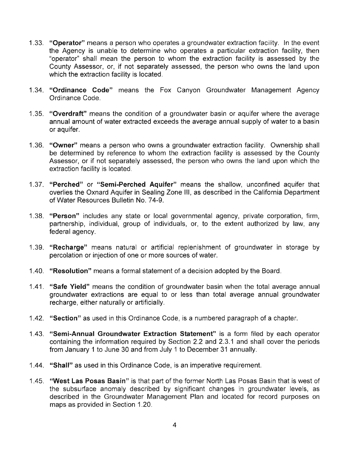- 1.33. **"Operator"** means a person who operates a groundwater extraction facility. In the event the Agency is unable to determine who operates a particular extraction facility, then "operator" shall mean the person to whom the extraction facility is assessed by the County Assessor, or, if not separately assessed, the person who owns the land upon which the extraction facility is located.
- 1.34. **"Ordinance Code"** means the Fox Canyon Groundwater Management Agency Ordinance Code.
- 1.35. **"Overdraft"** means the condition of a groundwater basin or aquifer where the average annual amount of water extracted exceeds the average annual supply of water to a basin or aquifer.
- 1.36. **"Owner"** means a person who owns a groundwater extraction facility. Ownership shall be determined by reference to whom the extraction facility is assessed by the County Assessor, or if not separately assessed, the person who owns the land upon which the extraction facility is located.
- 1.37. **"Perched" or "Semi-Perched Aquifer"** means the shallow, unconfined aquifer that overlies the Oxnard Aquifer in Sealing Zone III, as described in the California Department of Water Resources Bulletin No. 74-9.
- 1.38. **"Person"** includes any state or local governmental agency, private corporation, firm, partnership, individual, group of individuals, or, to the extent authorized by law, any federal agency.
- 1.39. **"Recharge"** means natural or artificial replenishment of groundwater in storage by percolation or injection of one or more sources of water.
- 1.40. **"Resolution"** means a formal statement of a decision adopted by the Board.
- 1.41. **"Safe Yield"** means the condition of groundwater basin when the total average annual groundwater extractions are equal to or less than total average annual groundwater recharge, either naturally or artificially.
- 1.42. **"Section"** as used in this Ordinance Code, is a numbered paragraph of a chapter.
- 1.43. **"Semi-Annual Groundwater Extraction Statement"** is a form filed by each operator containing the information required by Section 2.2 and 2.3.1 and shall cover the periods from January 1 to June 30 and from July 1 to December 31 annually.
- 1.44. **"Shall"** as used in this Ordinance Code, is an imperative requirement.
- 1.45. **"West Las Posas Basin"** is that part of the former North Las Posas Basin that is west of the subsurface anomaly described by significant changes in groundwater levels, as described in the Groundwater Management Plan and located for record purposes on maps as provided in Section 1.20.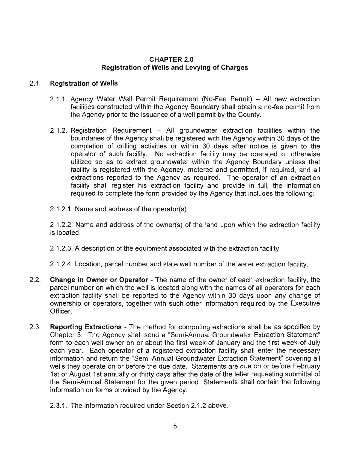### CHAPTER 2.0 Registration of Wells and Levying of Charges

### 2.1. Registration of Wells

- 2.1.1. Agency Water Well Permit Requirement (No-Fee Permit) All new extraction facilities constructed within the Agency Boundary shall obtain a no-fee permit from the Agency prior to the issuance of a well permit by the County.
- 2.1.2. Registration Requirement  $-$  All groundwater extraction facilities within the boundaries of the Agency shall be registered with the Agency within 30 days of the completion of drilling activities or within 30 days after notice is given to the operator of such facility. No extraction facility may be operated or otherwise utilized so as to extract groundwater within the Agency Boundary unless that facility is registered with the Agency, metered and permitted, if required, and all extractions reported to the Agency as required. The operator of an extraction facility shall register his extraction facility and provide in full, the information required to complete the form provided by the Agency that includes the following:
- 2.1.2.1. Name and address of the operator(s).

2.1.2.2. Name and address of the owner(s) of the land upon which the extraction facility is located.

2.1.2.3. A description of the equipment associated with the extraction facility.

2.1.2.4. Location, parcel number and state well number of the water extraction facility.

- 2.2. Change in Owner or Operator The name of the owner of each extraction facility, the parcel number on which the well is located along with the names of all operators for each extraction facility shall be reported to the Agency within 30 days upon any change of ownership or operators, together with such other information required by the Executive Officer.
- 2.3. Reporting Extractions The method for computing extractions shall be as specified by Chapter 3. The Agency shall send a "Semi-Annual Groundwater Extraction Statement" form to each well owner on or about the first week of January and the first week of July each year. Each operator of a registered extraction facility shall enter the necessary information and return the "Semi-Annual Groundwater Extraction Statement" covering all wells they operate on or before the due date. Statements are due on or before February 1st or August 1st annually or thirty days after the date of the letter requesting submittal of the Semi-Annual Statement for the given period. Statements shall contain the following information on forms provided by the Agency:
	- 2.3.1. The information required under Section 2.1.2 above.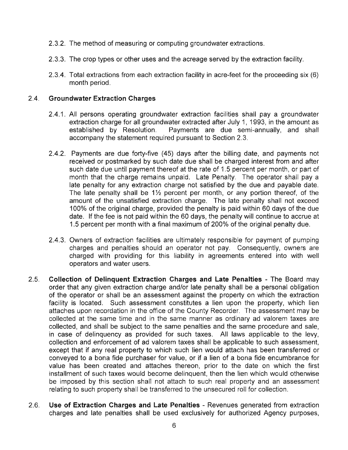- 2.3.2. The method of measuring or computing groundwater extractions.
- 2.3.3. The crop types or other uses and the acreage served by the extraction facility.
- 2.3.4. Total extractions from each extraction facility in acre-feet for the proceeding six (6) month period.

### 2.4. **Groundwater Extraction Charges**

- 2.4.1. All persons operating groundwater extraction facilities shall pay a groundwater extraction charge for all groundwater extracted after July 1, 1993, in the amount as established by Resolution. Payments are due semi-annually, and shall accompany the statement required pursuant to Section 2.3.
- 2.4.2. Payments are due forty-five (45) days after the billing date, and payments not received or postmarked by such date due shall be charged interest from and after such date due until payment thereof at the rate of 1.5 percent per month, or part of month that the charge remains unpaid. Late Penalty. The operator shall pay a late penalty for any extraction charge not satisfied by the due and payable date. The late penalty shall be  $1\frac{1}{2}$  percent per month, or any portion thereof, of the amount of the unsatisfied extraction charge. The late penalty shall not exceed 100% of the original charge, provided the penalty is paid within 60 days of the due date. If the fee is not paid within the 60 days, the penalty will continue to accrue at 1.5 percent per month with a final maximum of 200% of the original penalty due.
- 2.4.3. Owners of extraction facilities are ultimately responsible for payment of pumping charges and penalties should an operator not pay. Consequently, owners are charged with providing for this liability in agreements entered into with well operators and water users.
- 2.5. **Collection of Delinquent Extraction Charges and Late Penalties**  The Board may order that any given extraction charge and/or late penalty shall be a personal obligation of the operator or shall be an assessment against the property on which the extraction facility is located. Such assessment constitutes a lien upon the property, which lien attaches upon recordation in the office of the County Recorder. The assessment may be collected at the same time and in the same manner as ordinary ad valorem taxes are collected, and shall be subject to the same penalties and the same procedure and sale, in case of delinquency as provided for such taxes. All laws applicable to the levy, collection and enforcement of ad valorem taxes shall be applicable to such assessment, except that if any real property to which such lien would attach has been transferred or conveyed to a bona fide purchaser for value, or if a lien of a bona fide encumbrance for value has been created and attaches thereon, prior to the date on which the first installment of such taxes would become delinquent, then the lien which would otherwise be imposed by this section shall not attach to such real property and an assessment relating to such property shall be transferred to the unsecured roll for collection.
- 2.6. **Use of Extraction Charges and Late Penalties**  Revenues generated from extraction charges and late penalties shall be used exclusively for authorized Agency purposes,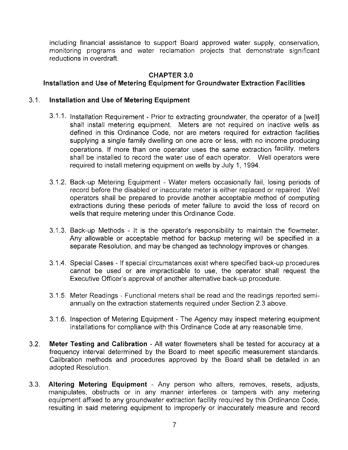including financial assistance to support Board approved water supply, conservation, monitoring programs and water reclamation projects that demonstrate significant reductions in overdraft.

### **CHAPTER 3.0**

### **Installation and Use of Metering Equipment for Groundwater Extraction Facilities**

#### 3.1. **Installation and Use of Metering Equipment**

- 3.1.1. Installation Requirement Prior to extracting groundwater, the operator of a [well] shall install metering equipment. Meters are not required on inactive wells as defined in this Ordinance Code, nor are meters required for extraction facilities supplying a single family dwelling on one acre or less, with no income producing operations. If more than one operator uses the same extraction facility, meters shall be installed to record the water use of each operator. Well operators were required to install metering equipment on wells by July 1, 1994.
- 3.1.2. Back-up Metering Equipment Water meters occasionally fail, losing periods of record before the disabled or inaccurate meter is either replaced or repaired. Well operators shall be prepared to provide another acceptable method of computing extractions during these periods of meter failure to avoid the loss of record on wells that require metering under this Ordinance Code.
- 3.1.3. Back-up Methods It is the operator's responsibility to maintain the flowmeter. Any allowable or acceptable method for backup metering will be specified in a separate Resolution, and may be changed as technology improves or changes.
- 3.1.4. Special Cases If special circumstances exist where specified back-up procedures cannot be used or are impracticable to use, the operator shall request the Executive Officer's approval of another alternative back-up procedure.
- 3.1.5. Meter Readings Functional meters shall be read and the readings reported semiannually on the extraction statements required under Section 2.3 above.
- 3.1.6. Inspection of Metering Equipment The Agency may inspect metering equipment installations for compliance with this Ordinance Code at any reasonable time.
- 3.2. **Meter Testing and Calibration**  All water flowmeters shall be tested for accuracy at a frequency interval determined by the Board to meet specific measurement standards. Calibration methods and procedures approved by the Board shall be detailed in an adopted Resolution.
- 3.3. **Altering Metering Equipment**  Any person who alters, removes, resets, adjusts, manipulates, obstructs or in any manner interferes or tampers with any metering equipment affixed to any groundwater extraction facility required by this Ordinance Code, resulting in said metering equipment to improperly or inaccurately measure and record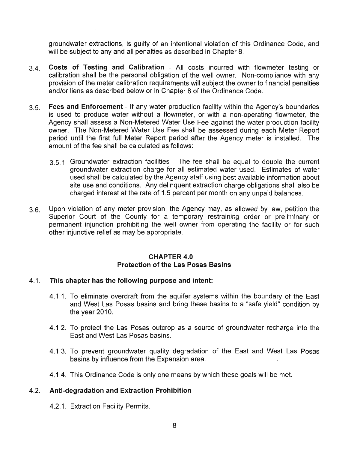groundwater extractions, is guilty of an intentional violation of this Ordinance Code, and will be subject to any and all penalties as described in Chapter 8.

- 3.4. **Costs of Testing and Calibration**  All costs incurred with flowmeter testing or calibration shall be the personal obligation of the well owner. Non-compliance with any provision of the meter calibration requirements will subject the owner to financial penalties and/or liens as described below or in Chapter 8 of the Ordinance Code.
- 3.5. **Fees and Enforcement**  If any water production facility within the Agency's boundaries is used to produce water without a flowmeter, or with a non-operating flowmeter, the Agency shall assess a Non-Metered Water Use Fee against the water production facility owner. The Non-Metered Water Use Fee shall be assessed during each Meter Report period until the first full Meter Report period after the Agency meter is installed. The amount of the fee shall be calculated as follows:
	- 3.5.1 Groundwater extraction facilities The fee shall be equal to double the current groundwater extraction charge for all estimated water used. Estimates of water used shall be calculated by the Agency staff using best available information about site use and conditions. Any delinquent extraction charge obligations shall also be charged interest at the rate of 1.5 percent per month on any unpaid balances.
- 3.6. Upon violation of any meter provision, the Agency may, as allowed by law, petition the Superior Court of the County for a temporary restraining order or preliminary or permanent injunction prohibiting the well owner from operating the facility or for such other injunctive relief as may be appropriate.

#### **CHAPTER 4.0 Protection of the Las Posas Basins**

#### 4.1. **This chapter has the following purpose and intent:**

- 4.1.1. To eliminate overdraft from the aquifer systems within the boundary of the East and West Las Posas basins and bring these basins to a "safe yield" condition by the year 2010.
- 4.1.2. To protect the Las Posas outcrop as a source of groundwater recharge into the East and West Las Posas basins.
- 4.1.3. To prevent groundwater quality degradation of the East and West Las Posas basins by influence from the Expansion area.
- 4.1.4. This Ordinance Code is only one means by which these goals will be met.

### 4.2. **Anti-degradation and Extraction Prohibition**

4.2.1. Extraction Facility Permits.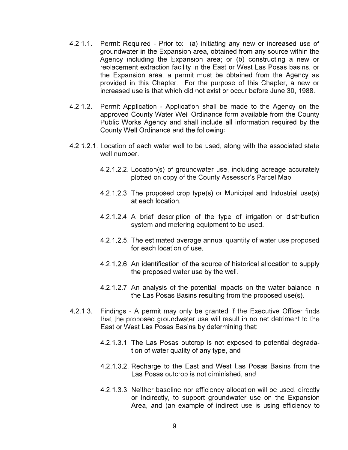- 4.2.1.1. Permit Required Prior to: (a) initiating any new or increased use of groundwater in the Expansion area, obtained from any source within the Agency including the Expansion area; or (b) constructing a new or replacement extraction facility in the East or West Las Posas basins, or the Expansion area, a permit must be obtained from the Agency as provided in this Chapter. For the purpose of this Chapter, a new or increased use is that which did not exist or occur before June 30, 1988.
- 4.2.1.2. Permit Application Application shall be made to the Agency on the approved County Water Well Ordinance form available from the County Public Works Agency and shall include all information required by the County Well Ordinance and the following:
- 4.2.1.2.1. Location of each water well to be used, along with the associated state well number.
	- 4.2.1.2.2. Location(s) of groundwater use, including acreage accurately plotted on copy of the County Assessor's Parcel Map.
	- 4.2.1 .2.3. The proposed crop type(s) or Municipal and Industrial use(s) at each location.
	- 4.2.1.2.4. A brief description of the type of irrigation or distribution system and metering equipment to be used.
	- 4.2.1.2.5. The estimated average annual quantity of water use proposed for each location of use.
	- 4.2.1.2.6. An identification of the source of historical allocation to supply the proposed water use by the well.
	- 4.2.1.2.7. An analysis of the potential impacts on the water balance in the Las Posas Basins resulting from the proposed use(s).
- 4.2.1 .3. Findings A permit may only be granted if the Executive Officer finds that the proposed groundwater use will result in no net detriment to the East or West Las Posas Basins by determining that:
	- 4.2.1.3.1. The Las Posas outcrop is not exposed to potential degradation of water quality of any type, and
	- 4.2.1.3.2. Recharge to the East and West Las Posas Basins from the Las Posas outcrop is not diminished, and
	- 4.2.1.3.3. Neither baseline nor efficiency allocation will be used, directly or indirectly, to support groundwater use on the Expansion Area, and (an example of indirect use is using efficiency to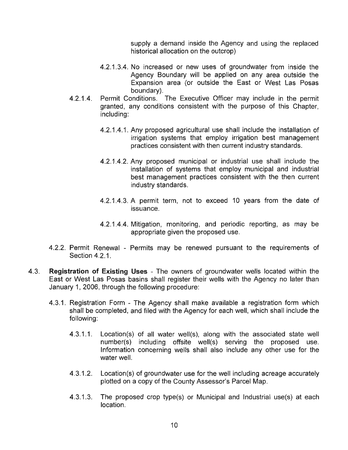supply a demand inside the Agency and using the replaced historical allocation on the outcrop)

- 4.2.1.3.4. No increased or new uses of groundwater from inside the Agency Boundary will be applied on any area outside the Expansion area (or outside the East or West Las Posas boundary).
- 4.2.1.4. Permit Conditions. The Executive Officer may include in the permit granted, any conditions consistent with the purpose of this Chapter, including:
	- 4.2.1.4.1. Any proposed agricultural use shall include the installation of irrigation systems that employ irrigation best management practices consistent with then current industry standards.
	- 4.2.1.4.2. Any proposed municipal or industrial use shall include the installation of systems that employ municipal and industrial best management practices consistent with the then current industry standards.
	- 4.2.1.4.3. A permit term, not to exceed 10 years from the date of issuance.
	- 4.2.1.4.4. Mitigation, monitoring, and periodic reporting, as may be appropriate given the proposed use.
- 4.2.2. Permit Renewal Permits may be renewed pursuant to the requirements of Section 4.2.1.
- 4.3. **Registration of Existing Uses**  The owners of groundwater wells located within the East or West Las Posas basins shall register their wells with the Agency no later than January 1, 2006, through the following procedure:
	- 4.3.1. Registration Form The Agency shall make available a registration form which shall be completed, and filed with the Agency for each well, which shall include the following:
		- 4.3.1.1. Location(s) of all water well(s), along with the associated state well number(s) including offsite well(s) serving the proposed use. Information concerning wells shall also include any other use for the water well.
		- 4.3.1.2. Location(s) of groundwater use for the well including acreage accurately plotted on a copy of the County Assessor's Parcel Map.
		- 4.3.1.3. The proposed crop type(s) or Municipal and Industrial use(s) at each location.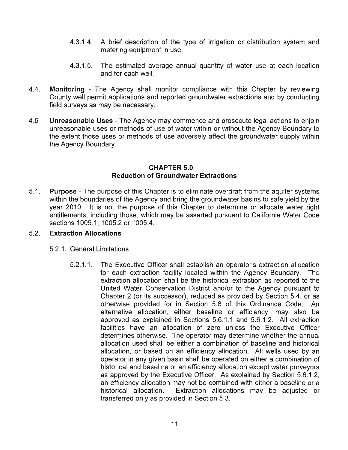- 4.3.1.4. A brief description of the type of irrigation or distribution system and metering equipment in use.
- 4.3.1 .5. The estimated average annual quantity of water use at each location and for each well.
- 4.4. **Monitoring**  The Agency shall monitor compliance with this Chapter by reviewing County well permit applications and reported groundwater extractions and by conducting field surveys as may be necessary.
- 4.5 **Unreasonable Uses**  The Agency may commence and prosecute legal actions to enjoin unreasonable uses or methods of use of water within or without the Agency Boundary to the extent those uses or methods of use adversely affect the groundwater supply within the Agency Boundary.

#### **CHAPTER 5.0 Reduction of Groundwater Extractions**

5.1. **Purpose** - The purpose of this Chapter is to eliminate overdraft from the aquifer systems within the boundaries of the Agency and bring the groundwater basins to safe yield by the year 2010. It is not the purpose of this Chapter to determine or allocate water right entitlements, including those, which may be asserted pursuant to California Water Code sections 1005.1, 1005.2 or 1005.4.

## 5.2. **Extraction Allocations**

- 5.2.1. General Limitations
	- 5.2.1 .1. The Executive Officer shall establish an operator's extraction allocation for each extraction facility located within the Agency Boundary. The extraction allocation shall be the historical extraction as reported to the United Water Conservation District and/or to the Agency pursuant to Chapter 2 (or its successor), reduced as provided by Section 5.4, or as otherwise provided for in Section 5.6 of this Ordinance Code. An alternative allocation, either baseline or efficiency, may also be approved as explained in Sections 5.6.1 .1 and 5.6.1.2. All extraction facilities have an allocation of zero unless the Executive Officer determines otherwise. The operator may determine whether the annual allocation used shall be either a combination of baseline and historical allocation, or based on an efficiency allocation. All wells used by an operator in any given basin shall be operated on either a combination of historical and baseline or an efficiency allocation except water purveyors as approved by the Executive Officer. As explained by Section 5.6.1.2, an efficiency allocation may not be combined with either a baseline or a historical allocation. Extraction allocations may be adjusted or transferred only as provided in Section 5.3.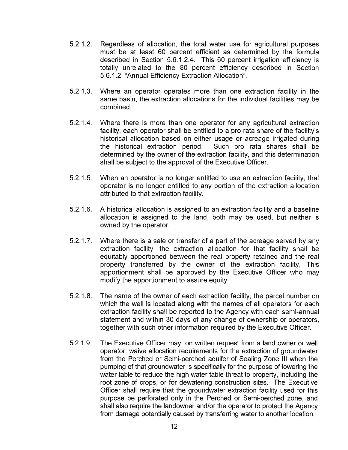- 5.2.1.2. Regardless of allocation, the total water use for agricultural purposes must be at least 60 percent efficient as determined by the formula described in Section 5.6.1.2.4. This 60 percent irrigation efficiency is totally unrelated to the 80 percent efficiency described in Section 5.6.1.2, "Annual Efficiency Extraction Allocation".
- 5.2.1.3. Where an operator operates more than one extraction facility in the same basin, the extraction allocations for the individual facilities may be combined.
- 5.2.1.4. Where there is more than one operator for any agricultural extraction facility, each operator shall be entitled to a pro rata share of the facility's historical allocation based on either usage or acreage irrigated during the historical extraction period. Such pro rata shares shall be determined by the owner of the extraction facility, and this determination shall be subject to the approval of the Executive Officer.
- 5.2.1.5. When an operator is no longer entitled to use an extraction facility, that operator is no longer entitled to any portion of the extraction allocation attributed to that extraction facility.
- 5.2.1.6. A historical allocation is assigned to an extraction facility and a baseline allocation is assigned to the land, both may be used, but neither is owned by the operator.
- 5.2.1.7. Where there is a sale or transfer of a part of the acreage served by any extraction facility, the extraction allocation for that facility shall be equitably apportioned between the real property retained and the real property transferred by the owner of the extraction facility, This apportionment shall be approved by the Executive Officer who may modify the apportionment to assure equity.
- 5.2.1.8. The name of the owner of each extraction facility, the parcel number on which the well is located along with the names of all operators for each extraction facility shall be reported to the Agency with each semi-annual statement and within 30 days of any change of ownership or operators, together with such other information required by the Executive Officer.
- 5.2.1.9. The Executive Officer may, on written request from a land owner or well operator, waive allocation requirements for the extraction of groundwater from the Perched or Semi-perched aquifer of Sealing Zone **III** when the pumping of that groundwater is specifically for the purpose of lowering the water table to reduce the high water table threat to property, including the root zone of crops, or for dewatering construction sites. The Executive Officer shall require that the groundwater extraction facility used for this purpose be perforated only in the Perched or Semi-perched zone, and shall also require the landowner and/or the operator to protect the Agency from damage potentially caused by transferring water to another location.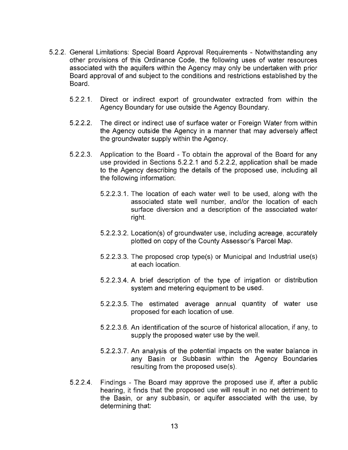- 5.2.2. General Limitations: Special Board Approval Requirements Notwithstanding any other provisions of this Ordinance Code, the following uses of water resources associated with the aquifers within the Agency may only be undertaken with prior Board approval of and subject to the conditions and restrictions established by the Board.
	- 5.2.2.1. Direct or indirect export of groundwater extracted from within the Agency Boundary for use outside the Agency Boundary.
	- 5.2.2.2. The direct or indirect use of surface water or Foreign Water from within the Agency outside the Agency in a manner that may adversely affect the groundwater supply within the Agency.
	- 5.2.2.3. Application to the Board To obtain the approval of the Board for any use provided in Sections 5.2.2.1 and 5.2.2.2, application shall be made to the Agency describing the details of the proposed use, including all the following information:
		- 5.2.2.3.1. The location of each water well to be used, along with the associated state well number, and/or the location of each surface diversion and a description of the associated water right.
		- 5.2.2.3.2. Location(s) of groundwater use, including acreage, accurately plotted on copy of the County Assessor's Parcel Map.
		- 5.2.2.3.3. The proposed crop type(s) or Municipal and Industrial use(s) at each location.
		- 5.2.2.3.4. A brief description of the type of irrigation or distribution system and metering equipment to be used.
		- 5.2.2.3.5. The estimated average annual quantity of water use proposed for each location of use.
		- 5.2.2.3.6. An identification of the source of historical allocation, if any, to supply the proposed water use by the well.
		- 5.2.2.3.7. An analysis of the potential impacts on the water balance in any Basin or Subbasin within the Agency Boundaries resulting from the proposed use(s).
	- 5.2.2.4. Findings The Board may approve the proposed use if, after a public hearing, it finds that the proposed use will result in no net detriment to the Basin, or any subbasin, or aquifer associated with the use, by determining that: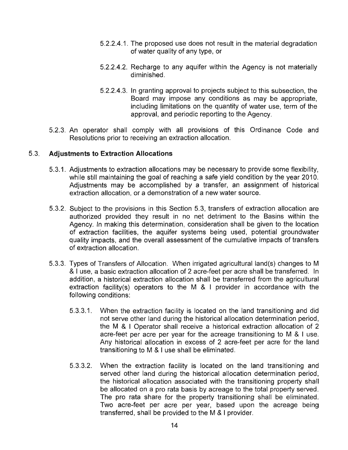- 5.2.2.4.1. The proposed use does not result in the material degradation of water quality of any type, or
- 5.2.2.4.2. Recharge to any aquifer within the Agency is not materially diminished.
- 5.2.2.4.3. In granting approval to projects subject to this subsection, the Board may impose any conditions as may be appropriate, including limitations on the quantity of water use, term of the approval, and periodic reporting to the Agency.
- 5.2.3. An operator shall comply with all provisions of this Ordinance Code and Resolutions prior to receiving an extraction allocation.

### 5.3. **Adjustments to Extraction Allocations**

- 5.3.1. Adjustments to extraction allocations may be necessary to provide some flexibility, while still maintaining the goal of reaching a safe yield condition by the year 2010. Adjustments may be accomplished by a transfer, an assignment of historical extraction allocation, or a demonstration of a new water source.
- 5.3.2. Subject to the provisions in this Section 5.3, transfers of extraction allocation are authorized provided they result in no net detriment to the Basins within the Agency. In making this determination, consideration shall be given to the location of extraction facilities, the aquifer systems being used, potential groundwater quality impacts, and the overall assessment of the cumulative impacts of transfers of extraction allocation.
- 5.3.3. Types of Transfers of Allocation. When irrigated agricultural land(s) changes to M & I use, a basic extraction allocation of 2 acre-feet per acre shall be transferred. In addition, a historical extraction allocation shall be transferred from the agricultural extraction facility(s) operators to the M & I provider in accordance with the following conditions:
	- 5.3.3.1. When the extraction facility is located on the land transitioning and did not serve other land during the historical allocation determination period, the M & I Operator shall receive a historical extraction allocation of 2 acre-feet per acre per year for the acreage transitioning to M & I use. Any historical allocation in excess of 2 acre-feet per acre for the land transitioning to M & I use shall be eliminated.
	- 5.3.3.2. When the extraction facility is located on the land transitioning and served other land during the historical allocation determination period, the historical allocation associated with the transitioning property shall be allocated on a pro rata basis by acreage to the total property served. The pro rata share for the property transitioning shall be eliminated. Two acre-feet per acre per year, based upon the acreage being transferred, shall be provided to the M & I provider.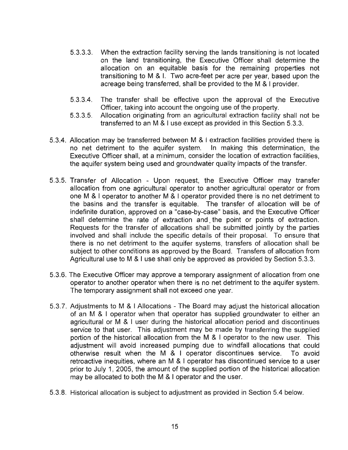- 5.3.3.3. When the extraction facility serving the lands transitioning is not located on the land transitioning, the Executive Officer shall determine the allocation on an equitable basis for the remaining properties not transitioning to M & I. Two acre-feet per acre per year, based upon the acreage being transferred, shall be provided to the M & I provider.
- 5.3.3.4. The transfer shall be effective upon the approval of the Executive Officer, taking into account the ongoing use of the property.
- 5.3.3.5. Allocation originating from an agricultural extraction facility shall not be transferred to an M & I use except as provided in this Section 5.3.3.
- 5.3.4. Allocation may be transferred between M & I extraction facilities provided there is no net detriment to the aquifer system. In making this determination, the Executive Officer shall, at a minimum, consider the location of extraction facilities, the aquifer system being used and groundwater quality impacts of the transfer.
- 5.3.5. Transfer of Allocation Upon request, the Executive Officer may transfer allocation from one agricultural operator to another agricultural operator or from one M & I operator to another M & I operator provided there is no net detriment to the basins and the transfer is equitable. The transfer of allocation will be of indefinite duration, approved on a "case-by-case" basis, and the Executive Officer shall determine the rate of extraction and. the point or points of extraction. Requests for the transfer of allocations shall be submitted jointly by the parties involved and shall include the specific details of their proposal. To ensure that there is no net detriment to the aquifer systems, transfers of allocation shall be subject to other conditions as approved by the Board. Transfers of allocation from Agricultural use to M & I use shall only be approved as provided by Section 5.3.3.
- 5.3.6. The Executive Officer may approve a temporary assignment of allocation from one operator to another operator when there is no net detriment to the aquifer system. The temporary assignment shall not exceed one year.
- 5.3.7. Adjustments to M & I Allocations The Board may adjust the historical allocation of an M & I operator when that operator has supplied groundwater to either an agricultural or M & I user during the historical allocation period and discontinues service to that user. This adjustment may be made by transferring the supplied portion of the historical allocation from the M & I operator to the new user. This adjustment will avoid increased pumping due to windfall allocations that could otherwise result when the M & I operator discontinues service. To avoid retroactive inequities, where an M & I operator has discontinued service to a user prior to July 1, 2005, the amount of the supplied portion of the historical allocation may be allocated to both the M & I operator and the user.
- 5.3.8. Historical allocation is subject to adjustment as provided in Section 5.4 below.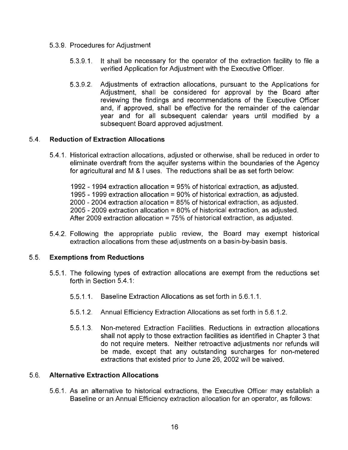- 5.3.9. Procedures for Adjustment
	- 5.3.9.1. It shall be necessary for the operator of the extraction facility to file a verified Application for Adjustment with the Executive Officer.
	- 5.3.9.2. Adjustments of extraction allocations, pursuant to the Applications for Adjustment, shall be considered for approval by the Board after reviewing the findings and recommendations of the Executive Officer and, if approved, shall be effective for the remainder of the calendar year and for all subsequent calendar years until modified by a subsequent Board approved adjustment.

## 5.4. **Reduction of Extraction Allocations**

5.4.1. Historical extraction allocations, adjusted or otherwise, shall be reduced in order to eliminate overdraft from the aquifer systems within the boundaries of the Agency for agricultural and M & I uses. The reductions shall be as set forth below:

1992 - 1994 extraction allocation = 95% of historical extraction, as adjusted. 1995 - 1999 extraction allocation = 90% of historical extraction, as adjusted. 2000 - 2004 extraction allocation = 85% of historical extraction, as adjusted. 2005 - 2009 extraction allocation = 80% of historical extraction, as adjusted. After 2009 extraction allocation = 75% of historical extraction, as adjusted.

5.4.2. Following the appropriate public review, the Board may exempt historical extraction allocations from these adjustments on a basin-by-basin basis.

### 5.5. **Exemptions from Reductions**

- 5.5.1. The following types of extraction allocations are exempt from the reductions set forth in Section  $5.4.1$ :
	- 5.5.1.1. Baseline Extraction Allocations as set forth in 5.6.1.1.
	- 5.5.1.2. Annual Efficiency Extraction Allocations as set forth in 5.6.1.2.
	- 5.5.1.3. Non-metered Extraction Facilities. Reductions in extraction allocations shall not apply to those extraction facilities as identified in Chapter 3 that do not require meters. Neither retroactive adjustments nor refunds will be made, except that any outstanding surcharges for non-metered extractions that existed prior to June 26, 2002 will be waived.

### 5.6. **Alternative Extraction Allocations**

5.6.1. As an alternative to historical extractions, the Executive Officer may establish a Baseline or an Annual Efficiency extraction allocation for an operator, as follows: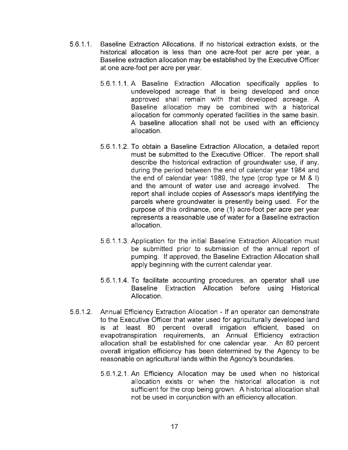- 5.6.1.1. Baseline Extraction Allocations. **If** no historical extraction exists, or the historical allocation is less than one acre-foot per acre per year, a Baseline extraction allocation may be established by the Executive Officer at one acre-foot per acre per year.
	- 5.6.1.1.1. A Baseline Extraction Allocation specifically applies to undeveloped acreage that is being developed and once approved shall remain with that developed acreage. A Baseline allocation may be combined with a historical allocation for commonly operated facilities in the same basin. A baseline allocation shall not be used with an efficiency allocation.
	- 5.6.1.1.2. To obtain a Baseline Extraction Allocation, a detailed report must be submitted to the Executive Officer. The report shall describe the historical extraction of groundwater use, if any, during the period between the end of calendar year 1984 and the end of calendar year 1989, the type (crop type or M & I) and the amount of water use and acreage involved. The report shall include copies of Assessor's maps identifying the parcels where groundwater is presently being used. For the purpose of this ordinance, one (1) acre-foot per acre per year represents a reasonable use of water for a Baseline extraction allocation.
	- 5.6.1.1.3. Application for the initial Baseline Extraction Allocation must be submitted prior to submission of the annual report of pumping. **If** approved, the Baseline Extraction Allocation shall apply beginning with the current calendar year.
	- 5.6.1.1.4. To facilitate accounting procedures, an operator shall use Baseline Extraction Allocation before using Historical Allocation.
- 5.6.1 .2. Annual Efficiency Extraction Allocation If an operator can demonstrate to the Executive Officer that water used for agriculturally developed land is at least 80 percent overall irrigation efficient, based on evapotranspiration requirements, an Annual Efficiency extraction allocation shall be established for one calendar year. An 80 percent overall irrigation efficiency has been determined by the Agency to be reasonable on agricultural lands within the Agency's boundaries.
	- 5.6.1.2.1. An Efficiency Allocation may be used when no historical allocation exists or when the historical allocation is not sufficient for the crop being grown. A historical allocation shall not be used in conjunction with an efficiency allocation.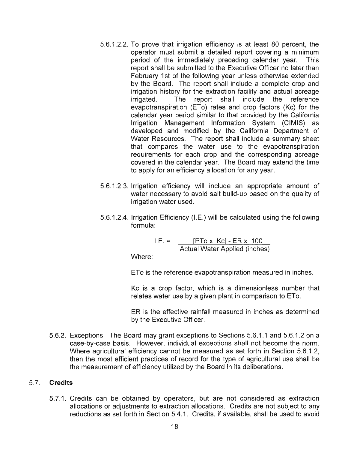- 5.6.1.2.2. To prove that irrigation efficiency is at least 80 percent, the operator must submit a detailed report covering a minimum period of the immediately preceding calendar year. This report shall be submitted to the Executive Officer no later than February 1st of the following year unless otherwise extended by the Board. The report shall include a complete crop and irrigation history for the extraction facility and actual acreage irrigated. The report shall include the reference evapotranspiration (ETo) rates and crop factors (Kc) for the calendar year period similar to that provided by the California Irrigation Management Information System (CIMIS) as developed and modified by the California Department of Water Resources. The report shall include a summary sheet that compares the water use to the evapotranspiration requirements for each crop and the corresponding acreage covered in the calendar year. The Board may extend the time to apply for an efficiency allocation for any year.
- 5.6.1.2.3. Irrigation efficiency will include an appropriate amount of water necessary to avoid salt build-up based on the quality of irrigation water used.
- 5.6.1.2.4. Irrigation Efficiency (I.E.) will be calculated using the following formula:

 $I.E. =$  [ETo x Kc] - ER x 100 Actual Water Applied (inches)

Where:

ETo is the reference evapotranspiration measured in inches.

Kc is a crop factor, which is a dimensionless number that relates water use by a given plant in comparison to ETo.

ER is the effective rainfall measured in inches as determined by the Executive Officer.

5.6.2. Exceptions - The Board may grant exceptions to Sections 5.6.1.1 and 5.6.1.2 on a case-by-case basis. However, individual exceptions shall not become the norm. Where agricultural efficiency cannot be measured as set forth in Section 5.6.1.2, then the most efficient practices of record for the type of agricultural use shall be the measurement of efficiency utilized by the Board in its deliberations.

### 5.7. **Credits**

5.7.1. Credits can be obtained by operators, but are not considered as extraction allocations or adjustments to extraction allocations. Credits are not subject to any reductions as set forth in Section 5.4.1. Credits, if available, shall be used to avoid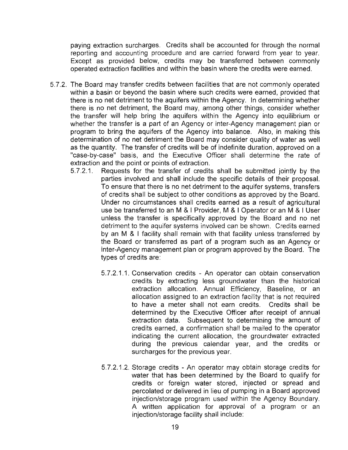paying extraction surcharges. Credits shall be accounted for through the normal reporting and accounting procedure and are carried forward from year to year. Except as provided below, credits may be transferred between commonly operated extraction facilities and within the basin where the credits were earned.

- 5.7.2. The Board may transfer credits between facilities that are not commonly operated within a basin or beyond the basin where such credits were earned, provided that there is no net detriment to the aquifers within the Agency. In determining whether there is no net detriment, the Board may, among other things, consider whether the transfer will help bring the aquifers within the Agency into equilibrium or whether the transfer is a part of an Agency or inter-Agency management plan or program to bring the aquifers of the Agency into balance. Also, in making this determination of no net detriment the Board may consider quality of water as well as the quantity. The transfer of credits will be of indefinite duration, approved on a "case-by-case" basis, and the Executive Officer shall determine the rate of extraction and the point or points of extraction.
	- 5.7.2.1. Requests for the transfer of credits shall be submitted jointly by the parties involved and shall include the specific details of their proposal. To ensure that there is no net detriment to the aquifer systems, transfers of credits shall be subject to other conditions as approved by the Board. Under no circumstances shall credits earned as a result of agricultural use be transferred to an M & I Provider, M & I Operator or an M & I User unless the transfer is specifically approved by the Board and no net detriment to the aquifer systems involved can be shown. Credits earned by an M & I facility shall remain with that facility unless transferred by the Board or transferred as part of a program such as an Agency or inter-Agency management plan or program approved by the Board. The types of credits are:
		- 5.7.2.1.1. Conservation credits An operator can obtain conservation credits by extracting less groundwater than the historical extraction allocation. Annual Efficiency, Baseline, or an allocation assigned to an extraction facility that is not required to have a meter shall not earn credits. Credits shall be determined by the Executive Officer after receipt of annual extraction data. Subsequent to determining the amount of credits earned, a confirmation shall be mailed to the operator indicating the current allocation, the groundwater extracted during the previous calendar year, and the credits or surcharges for the previous year.
		- 5.7.2.1.2. Storage credits An operator may obtain storage credits for water that has been determined by the Board to qualify for credits or foreign water stored, injected or spread and percolated or delivered in lieu of pumping in a Board approved injection/storage program used within the Agency Boundary. A written application for approval of a program or an injection/storage facility shall include: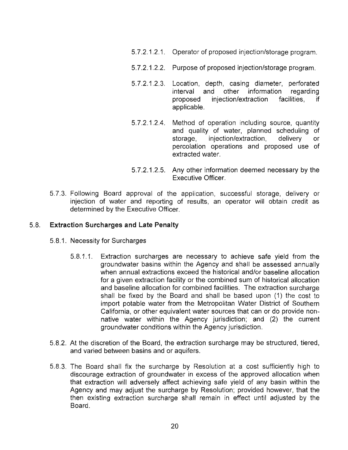- 5.7.2.1,2.1. Operator of proposed injection/storage program.
- 5.7.2.1.2.2. Purpose of proposed injection/storage program.
- 5.7.2.1 .2.3. Location, depth, casing diameter, perforated interval and other information regarding proposed injection/extraction facilities, if applicable.
- 5.7.2.1.2.4. Method of operation including source, quantity and quality of water, planned scheduling of storage, injection/extraction, delivery or percolation operations and proposed use of extracted water.
- 5.7.2.1 .2.5. Any other information deemed necessary by the Executive Officer.
- 5.7.3. Following Board approval of the application, successful storage, delivery or injection of water and reporting of results, an operator will obtain credit as determined by the Executive Officer.

#### 5.8. **Extraction Surcharges and Late Penalty**

- 5.8.1. Necessity for Surcharges
	- 5.8.1 .1. Extraction surcharges are necessary to achieve safe yield from the groundwater basins within the Agency and shall be assessed annually when annual extractions exceed the historical and/or baseline allocation for a given extraction facility or the combined sum of historical allocation and baseline allocation for combined facilities. The extraction surcharge shall be fixed by the Board and shall be based upon (1) the cost to import potable water from the Metropolitan Water District of Southern California, or other equivalent water sources that can or do provide nonnative water within the Agency jurisdiction; and (2) the current groundwater conditions within the Agency jurisdiction.
- 5.8.2. At the discretion of the Board, the extraction surcharge may be structured, tiered, and varied between basins and or aquifers.
- 5.8.3. The Board shall fix the surcharge by Resolution at a cost sufficiently high to discourage extraction of groundwater in excess of the approved allocation when that extraction will adversely affect achieving safe yield of any basin within the Agency and may adjust the surcharge by Resolution; provided however, that the then existing extraction surcharge shall remain in effect until adjusted by the Board.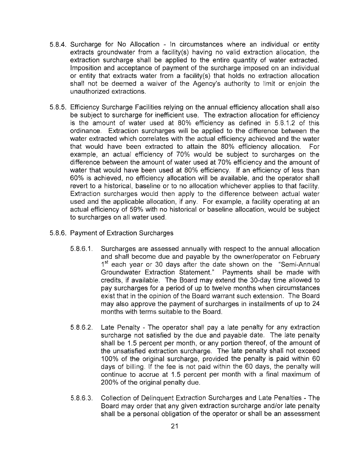- 5.8.4. Surcharge for No Allocation In circumstances where an individual or entity extracts groundwater from a facility(s) having no valid extraction allocation, the extraction surcharge shall be applied to the entire quantity of water extracted. Imposition and acceptance of payment of the surcharge imposed on an individual or entity that extracts water from a facility(s) that holds no extraction allocation shall not be deemed a waiver of the Agency's authority to limit or enjoin the unauthorized extractions.
- 5.8.5. Efficiency Surcharge Facilities relying on the annual efficiency allocation shall also be subject to surcharge for inefficient use. The extraction allocation for efficiency is the amount of water used at 80% efficiency as defined in 5.6.1.2 of this ordinance. Extraction surcharges will be applied to the difference between the water extracted which correlates with the actual efficiency achieved and the water that would have been extracted to attain the 80% efficiency allocation. For example, an actual efficiency of 70% would be subject to surcharges on the difference between the amount of water used at 70% efficiency and the amount of water that would have been used at 80% efficiency. If an efficiency of less than 60% is achieved, no efficiency allocation will be available, and the operator shall revert to a historical, baseline or to no allocation whichever applies to that facility. Extraction surcharges would then apply to the difference between actual water used and the applicable allocation, if any. For example, a facility operating at an actual efficiency of 59% with no historical or baseline allocation, would be subject to surcharges on all water used.
- 5.8.6. Payment of Extraction Surcharges
	- 5.8.6.1. Surcharges are assessed annually with respect to the annual allocation and shall become due and payable by the owner/operator on February 1<sup>st</sup> each year or 30 days after the date shown on the "Semi-Annual Groundwater Extraction Statement." Payments shall be made with credits, if available. The Board may extend the 30-day time allowed to pay surcharges for a period of up to twelve months when circumstances exist that in the opinion of the Board warrant such extension. The Board may also approve the payment of surcharges in installments of up to 24 months with terms suitable to the Board.
	- 5.8.6.2. Late Penalty The operator shall pay a late penalty for any extraction surcharge not satisfied by the due and payable date. The late penalty shall be 1.5 percent per month, or any portion thereof, of the amount of the unsatisfied extraction surcharge. The late penalty shall not exceed 100% of the original surcharge, provided the penalty is paid within 60 days of billing. If the fee is not paid within the 60 days, the penalty will continue to accrue at 1.5 percent per month with a final maximum of 200% of the original penalty due.
	- 5.8.6.3. Collection of Delinquent Extraction Surcharges and Late Penalties The Board may order that any given extraction surcharge and/or late penalty shall be a personal obligation of the operator or shall be an assessment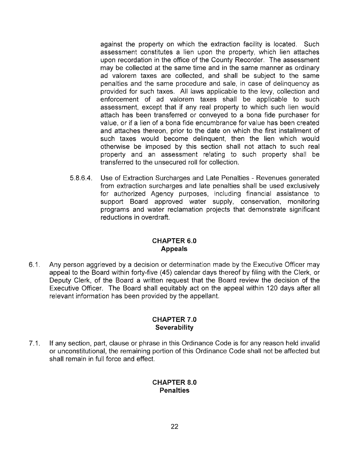against the property on which the extraction facility is located. Such assessment constitutes a lien upon the property, which lien attaches upon recordation in the office of the County Recorder. The assessment may be collected at the same time and in the same manner as ordinary ad valorem taxes are collected, and shall be subject to the same penalties and the same procedure and sale, in case of delinquency as provided for such taxes. All laws applicable to the levy, collection and enforcement of ad valorem taxes shall be applicable to such assessment, except that if any real property to which such lien would attach has been transferred or conveyed to a bona fide purchaser for value, or if a lien of a bona fide encumbrance for value has been created and attaches thereon, prior to the date on which the first installment of such taxes would become delinquent, then the lien which would otherwise be imposed by this section shall not attach to such real property and an assessment relating to such property shall be transferred to the unsecured roll for collection.

5.S.6.4. Use of Extraction Surcharges and Late Penalties - Revenues generated from extraction surcharges and late penalties shall be used exclusively for authorized Agency purposes, including financial assistance to support Board approved water supply, conservation, monitoring programs and water reclamation projects that demonstrate significant reductions in overdraft.

## **CHAPTER 6.0 Appeals**

6.1. Any person aggrieved by a decision or determination made by the Executive Officer may appeal to the Board within forty-five (45) calendar days thereof by filing with the Clerk, or Deputy Clerk, of the Board a written request that the Board review the decision of the Executive Officer. The Board shall equitably act on the appeal within 120 days after all relevant information has been provided by the appellant.

### **CHAPTER 7.0 Severability**

7.1. If any section, part, clause or phrase in this Ordinance Code is for any reason held invalid or unconstitutional, the remaining portion of this Ordinance Code shall not be affected but shall remain in full force and effect.

### **CHAPTER 8.0 Penalties**